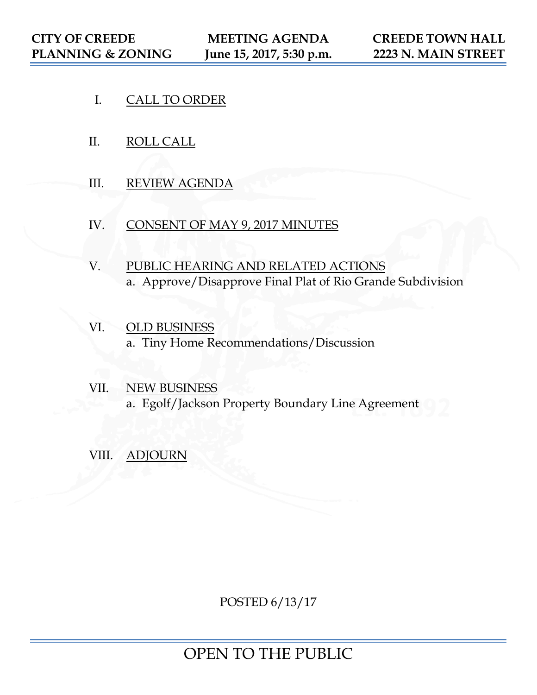- I. CALL TO ORDER
- II. ROLL CALL
- III. REVIEW AGENDA
- IV. CONSENT OF MAY 9, 2017 MINUTES
- V. PUBLIC HEARING AND RELATED ACTIONS a. Approve/Disapprove Final Plat of Rio Grande Subdivision
- VI. OLD BUSINESS a. Tiny Home Recommendations/Discussion
- VII. NEW BUSINESS a. Egolf/Jackson Property Boundary Line Agreement
- VIII. ADJOURN

POSTED 6/13/17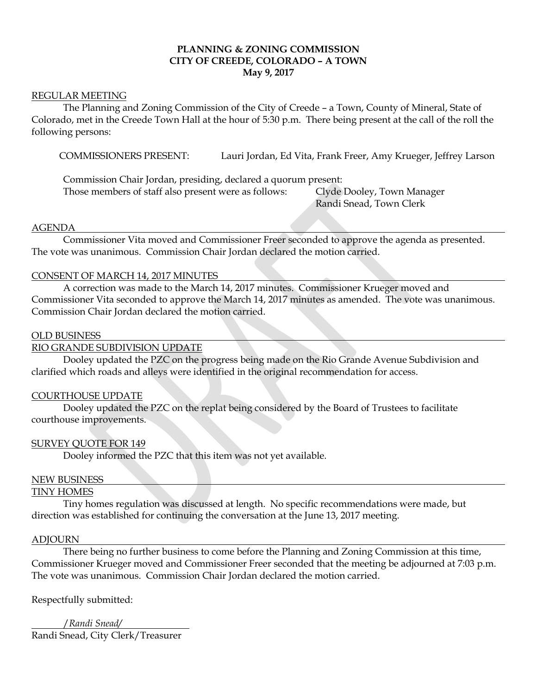#### **PLANNING & ZONING COMMISSION CITY OF CREEDE, COLORADO – A TOWN May 9, 2017**

#### REGULAR MEETING

The Planning and Zoning Commission of the City of Creede – a Town, County of Mineral, State of Colorado, met in the Creede Town Hall at the hour of 5:30 p.m. There being present at the call of the roll the following persons:

COMMISSIONERS PRESENT: Lauri Jordan, Ed Vita, Frank Freer, Amy Krueger, Jeffrey Larson

Commission Chair Jordan, presiding, declared a quorum present: Those members of staff also present were as follows: Clyde Dooley, Town Manager

Randi Snead, Town Clerk

#### AGENDA

Commissioner Vita moved and Commissioner Freer seconded to approve the agenda as presented. The vote was unanimous. Commission Chair Jordan declared the motion carried.

#### CONSENT OF MARCH 14, 2017 MINUTES

 A correction was made to the March 14, 2017 minutes. Commissioner Krueger moved and Commissioner Vita seconded to approve the March 14, 2017 minutes as amended. The vote was unanimous. Commission Chair Jordan declared the motion carried.

#### OLD BUSINESS

#### RIO GRANDE SUBDIVISION UPDATE

Dooley updated the PZC on the progress being made on the Rio Grande Avenue Subdivision and clarified which roads and alleys were identified in the original recommendation for access.

#### COURTHOUSE UPDATE

Dooley updated the PZC on the replat being considered by the Board of Trustees to facilitate courthouse improvements.

#### SURVEY QUOTE FOR 149

Dooley informed the PZC that this item was not yet available.

#### NEW BUSINESS

#### TINY HOMES

Tiny homes regulation was discussed at length. No specific recommendations were made, but direction was established for continuing the conversation at the June 13, 2017 meeting.

#### ADJOURN

There being no further business to come before the Planning and Zoning Commission at this time, Commissioner Krueger moved and Commissioner Freer seconded that the meeting be adjourned at 7:03 p.m. The vote was unanimous. Commission Chair Jordan declared the motion carried.

Respectfully submitted:

/*Randi Snead/* Randi Snead, City Clerk/Treasurer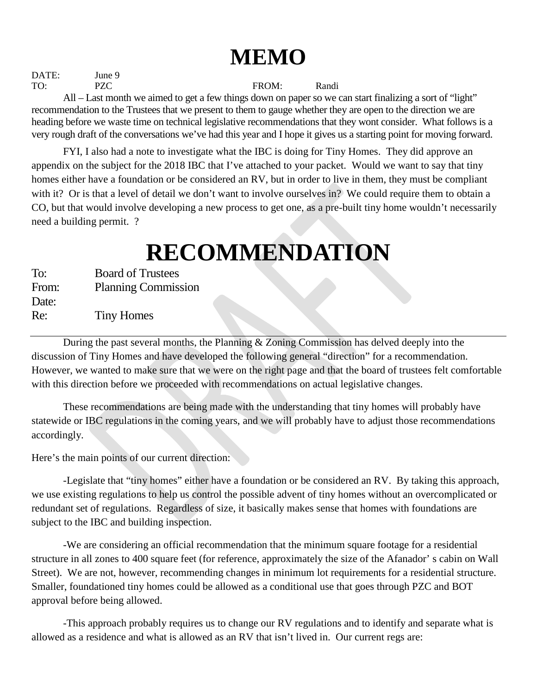## **MEMO**

DATE: June 9 TO: PZC FROM: Randi All – Last month we aimed to get a few things down on paper so we can start finalizing a sort of "light" recommendation to the Trustees that we present to them to gauge whether they are open to the direction we are heading before we waste time on technical legislative recommendations that they wont consider. What follows is a very rough draft of the conversations we've had this year and I hope it gives us a starting point for moving forward.

FYI, I also had a note to investigate what the IBC is doing for Tiny Homes. They did approve an appendix on the subject for the 2018 IBC that I've attached to your packet. Would we want to say that tiny homes either have a foundation or be considered an RV, but in order to live in them, they must be compliant with it? Or is that a level of detail we don't want to involve ourselves in? We could require them to obtain a CO, but that would involve developing a new process to get one, as a pre-built tiny home wouldn't necessarily need a building permit. ?

# **RECOMMENDATION**

| <b>Board of Trustees</b>   |
|----------------------------|
| <b>Planning Commission</b> |
|                            |
| <b>Tiny Homes</b>          |
|                            |

During the past several months, the Planning & Zoning Commission has delved deeply into the discussion of Tiny Homes and have developed the following general "direction" for a recommendation. However, we wanted to make sure that we were on the right page and that the board of trustees felt comfortable with this direction before we proceeded with recommendations on actual legislative changes.

These recommendations are being made with the understanding that tiny homes will probably have statewide or IBC regulations in the coming years, and we will probably have to adjust those recommendations accordingly.

Here's the main points of our current direction:

 -Legislate that "tiny homes" either have a foundation or be considered an RV. By taking this approach, we use existing regulations to help us control the possible advent of tiny homes without an overcomplicated or redundant set of regulations. Regardless of size, it basically makes sense that homes with foundations are subject to the IBC and building inspection.

-We are considering an official recommendation that the minimum square footage for a residential structure in all zones to 400 square feet (for reference, approximately the size of the Afanador' s cabin on Wall Street). We are not, however, recommending changes in minimum lot requirements for a residential structure. Smaller, foundationed tiny homes could be allowed as a conditional use that goes through PZC and BOT approval before being allowed.

-This approach probably requires us to change our RV regulations and to identify and separate what is allowed as a residence and what is allowed as an RV that isn't lived in. Our current regs are: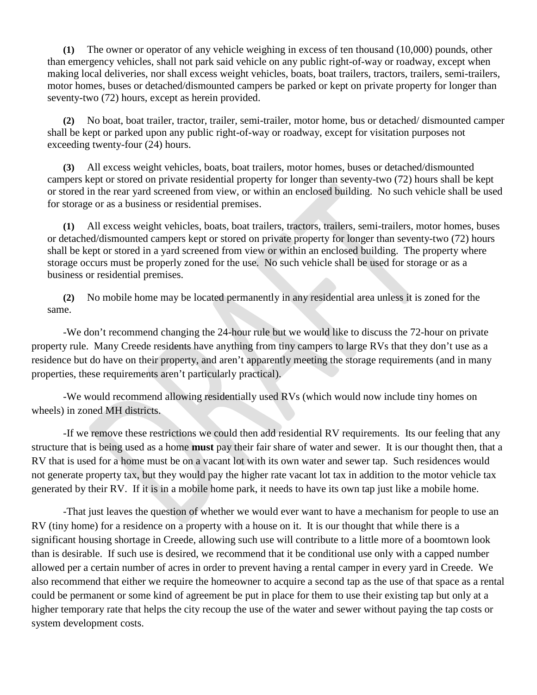**(1)** The owner or operator of any vehicle weighing in excess of ten thousand (10,000) pounds, other than emergency vehicles, shall not park said vehicle on any public right-of-way or roadway, except when making local deliveries, nor shall excess weight vehicles, boats, boat trailers, tractors, trailers, semi-trailers, motor homes, buses or detached/dismounted campers be parked or kept on private property for longer than seventy-two (72) hours, except as herein provided.

**(2)** No boat, boat trailer, tractor, trailer, semi-trailer, motor home, bus or detached/ dismounted camper shall be kept or parked upon any public right-of-way or roadway, except for visitation purposes not exceeding twenty-four (24) hours.

**(3)** All excess weight vehicles, boats, boat trailers, motor homes, buses or detached/dismounted campers kept or stored on private residential property for longer than seventy-two (72) hours shall be kept or stored in the rear yard screened from view, or within an enclosed building. No such vehicle shall be used for storage or as a business or residential premises.

**(1)** All excess weight vehicles, boats, boat trailers, tractors, trailers, semi-trailers, motor homes, buses or detached/dismounted campers kept or stored on private property for longer than seventy-two (72) hours shall be kept or stored in a yard screened from view or within an enclosed building. The property where storage occurs must be properly zoned for the use. No such vehicle shall be used for storage or as a business or residential premises.

**(2)** No mobile home may be located permanently in any residential area unless it is zoned for the same.

-We don't recommend changing the 24-hour rule but we would like to discuss the 72-hour on private property rule. Many Creede residents have anything from tiny campers to large RVs that they don't use as a residence but do have on their property, and aren't apparently meeting the storage requirements (and in many properties, these requirements aren't particularly practical).

-We would recommend allowing residentially used RVs (which would now include tiny homes on wheels) in zoned MH districts.

-If we remove these restrictions we could then add residential RV requirements. Its our feeling that any structure that is being used as a home **must** pay their fair share of water and sewer. It is our thought then, that a RV that is used for a home must be on a vacant lot with its own water and sewer tap. Such residences would not generate property tax, but they would pay the higher rate vacant lot tax in addition to the motor vehicle tax generated by their RV. If it is in a mobile home park, it needs to have its own tap just like a mobile home.

-That just leaves the question of whether we would ever want to have a mechanism for people to use an RV (tiny home) for a residence on a property with a house on it. It is our thought that while there is a significant housing shortage in Creede, allowing such use will contribute to a little more of a boomtown look than is desirable. If such use is desired, we recommend that it be conditional use only with a capped number allowed per a certain number of acres in order to prevent having a rental camper in every yard in Creede. We also recommend that either we require the homeowner to acquire a second tap as the use of that space as a rental could be permanent or some kind of agreement be put in place for them to use their existing tap but only at a higher temporary rate that helps the city recoup the use of the water and sewer without paying the tap costs or system development costs.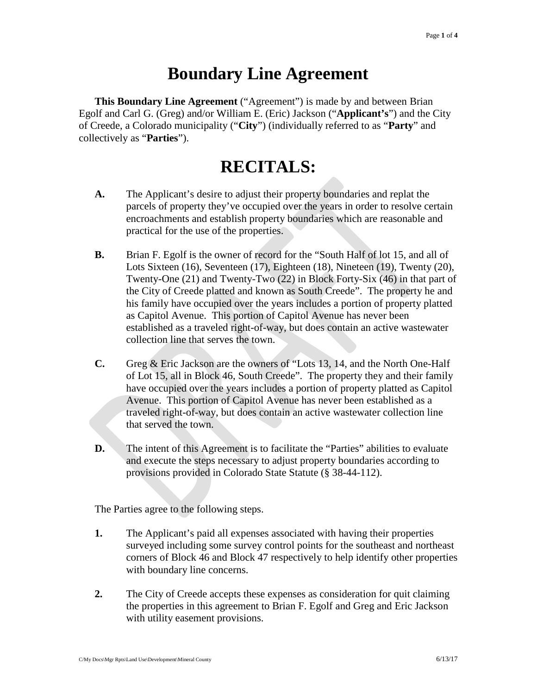### **Boundary Line Agreement**

**This Boundary Line Agreement** ("Agreement") is made by and between Brian Egolf and Carl G. (Greg) and/or William E. (Eric) Jackson ("**Applicant's**") and the City of Creede, a Colorado municipality ("**City**") (individually referred to as "**Party**" and collectively as "**Parties**").

### **RECITALS:**

- **A.** The Applicant's desire to adjust their property boundaries and replat the parcels of property they've occupied over the years in order to resolve certain encroachments and establish property boundaries which are reasonable and practical for the use of the properties.
- **B.** Brian F. Egolf is the owner of record for the "South Half of lot 15, and all of Lots Sixteen (16), Seventeen (17), Eighteen (18), Nineteen (19), Twenty (20), Twenty-One (21) and Twenty-Two (22) in Block Forty-Six (46) in that part of the City of Creede platted and known as South Creede". The property he and his family have occupied over the years includes a portion of property platted as Capitol Avenue. This portion of Capitol Avenue has never been established as a traveled right-of-way, but does contain an active wastewater collection line that serves the town.
- **C.** Greg & Eric Jackson are the owners of "Lots 13, 14, and the North One-Half of Lot 15, all in Block 46, South Creede". The property they and their family have occupied over the years includes a portion of property platted as Capitol Avenue. This portion of Capitol Avenue has never been established as a traveled right-of-way, but does contain an active wastewater collection line that served the town.
- **D.** The intent of this Agreement is to facilitate the "Parties" abilities to evaluate and execute the steps necessary to adjust property boundaries according to provisions provided in Colorado State Statute (§ 38-44-112).

The Parties agree to the following steps.

- **1.** The Applicant's paid all expenses associated with having their properties surveyed including some survey control points for the southeast and northeast corners of Block 46 and Block 47 respectively to help identify other properties with boundary line concerns.
- **2.** The City of Creede accepts these expenses as consideration for quit claiming the properties in this agreement to Brian F. Egolf and Greg and Eric Jackson with utility easement provisions.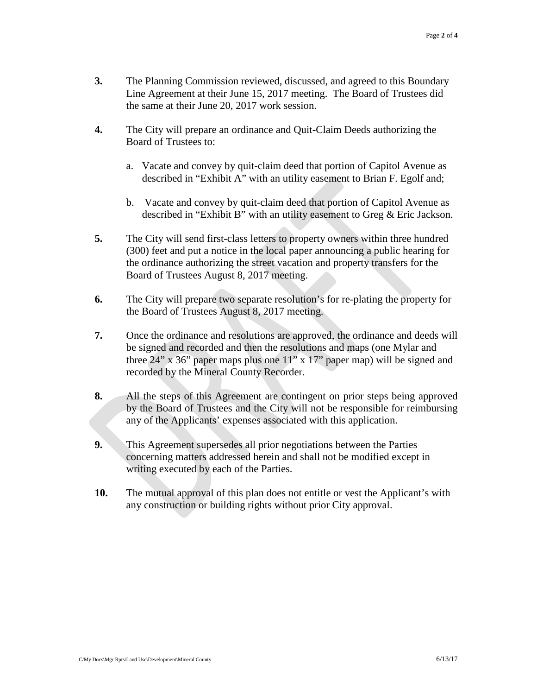- **3.** The Planning Commission reviewed, discussed, and agreed to this Boundary Line Agreement at their June 15, 2017 meeting. The Board of Trustees did the same at their June 20, 2017 work session.
- **4.** The City will prepare an ordinance and Quit-Claim Deeds authorizing the Board of Trustees to:
	- a. Vacate and convey by quit-claim deed that portion of Capitol Avenue as described in "Exhibit A" with an utility easement to Brian F. Egolf and;
	- b. Vacate and convey by quit-claim deed that portion of Capitol Avenue as described in "Exhibit B" with an utility easement to Greg & Eric Jackson.
- **5.** The City will send first-class letters to property owners within three hundred (300) feet and put a notice in the local paper announcing a public hearing for the ordinance authorizing the street vacation and property transfers for the Board of Trustees August 8, 2017 meeting.
- **6.** The City will prepare two separate resolution's for re-plating the property for the Board of Trustees August 8, 2017 meeting.
- **7.** Once the ordinance and resolutions are approved, the ordinance and deeds will be signed and recorded and then the resolutions and maps (one Mylar and three  $24$ " x  $36$ " paper maps plus one  $11$ " x  $17$ " paper map) will be signed and recorded by the Mineral County Recorder.
- **8.** All the steps of this Agreement are contingent on prior steps being approved by the Board of Trustees and the City will not be responsible for reimbursing any of the Applicants' expenses associated with this application.
- **9.** This Agreement supersedes all prior negotiations between the Parties concerning matters addressed herein and shall not be modified except in writing executed by each of the Parties.
- **10.** The mutual approval of this plan does not entitle or vest the Applicant's with any construction or building rights without prior City approval.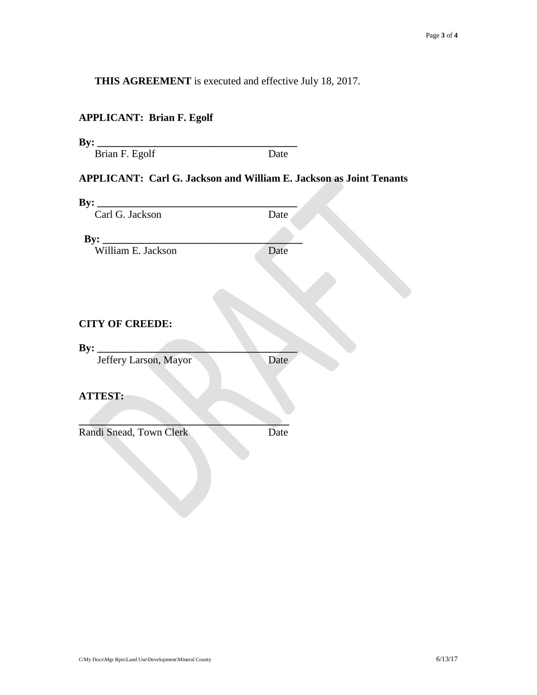**THIS AGREEMENT** is executed and effective July 18, 2017.

#### **APPLICANT: Brian F. Egolf**

| By:<br><u> 1999 - Jan James James Barnett, polit</u> ik                   |      |  |
|---------------------------------------------------------------------------|------|--|
| Brian F. Egolf                                                            | Date |  |
| <b>APPLICANT: Carl G. Jackson and William E. Jackson as Joint Tenants</b> |      |  |
|                                                                           |      |  |
| Carl G. Jackson                                                           | Date |  |
|                                                                           |      |  |
| By: William E. Jackson                                                    | Date |  |
|                                                                           |      |  |
|                                                                           |      |  |
|                                                                           |      |  |
|                                                                           |      |  |
| <b>CITY OF CREEDE:</b>                                                    |      |  |
|                                                                           |      |  |
| Jeffery Larson, Mayor                                                     | Date |  |
|                                                                           |      |  |
|                                                                           |      |  |
| <b>ATTEST:</b>                                                            |      |  |
|                                                                           |      |  |
| Randi Snead, Town Clerk                                                   | Date |  |
|                                                                           |      |  |
|                                                                           |      |  |
|                                                                           |      |  |